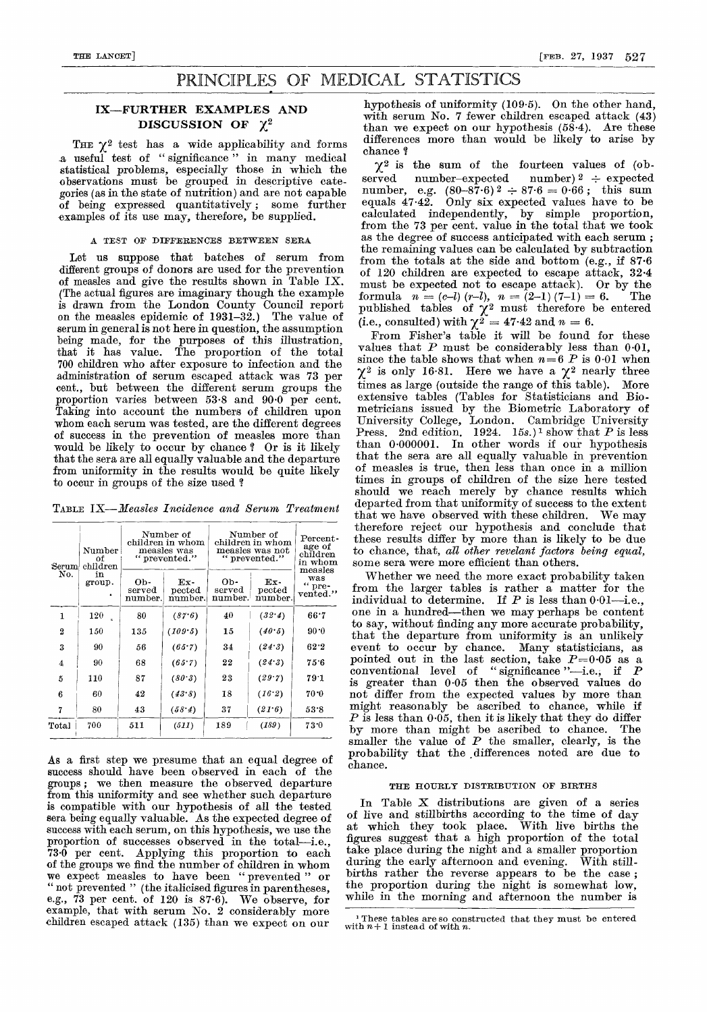# PRINCIPLES OF MEDICAL STATISTICS

## IX—FURTHER EXAMPLES AND DISCUSSION OF  $\chi^2$

THE  $\gamma^2$  test has a wide applicability and forms a useful test of " significance " in many medical statistical problems, especially those in which the observations must be grouped in descriptive categories (as in the state of nutrition) and are not capable of being expressed quantitatively ; some further examples of its use may, therefore, be supplied.

## A TEST OF DIFFERENCES BETWEEN SERA

Let us suppose that batches of serum from different groups of donors are used for the prevention of measles and give the results shown in Table IX. (The actual figures are imaginary though the example is drawn from the London County Council report on the measles epidemic of 1931-32.) The value of serum in general is not here in question, the assumption being made, for the purposes of this illustration, that it has value. The proportion of the total 700 children who after exposure to infection and the administration of serum escaped attack was 73 per cent., but between the different serum groups the proportion varies between 53-8 and 90-0 per cent. Taking into account the numbers of children upon whom each serum was tested, are the different degrees of success in the prevention of measles more than would be likely to occur by chance ? Or is it likely that the sera are all equally valuable and the departure from uniformity in the results would be quite likely to occur in groups of the size used ?

TABLE IX-Measles Incidence and Serum Treatment

| $\operatorname{Serum}$<br>No. | Number<br>оf<br>children | Number of<br>children in whom<br>measles was<br>" prevented." |                            | Number of<br>children in whom<br>measles was not<br>" prevented." |                                      | $Percent-$<br>age of<br>children<br>in whom                      |
|-------------------------------|--------------------------|---------------------------------------------------------------|----------------------------|-------------------------------------------------------------------|--------------------------------------|------------------------------------------------------------------|
|                               | in<br>group.             | Ob-<br>served<br>number.                                      | $Ex-$<br>pected<br>number. | Ob-<br>served<br>number.                                          | $Ex-$<br>$_{\rm{pected}}$<br>number. | $_{\rm{measles}}$<br>was<br>$\lq\lq$ pre-<br>$~{\rm vented.}$ '' |
| 1                             | 120                      | 80                                                            | (87.6)                     | 40                                                                | (32.4)                               | 66.7                                                             |
| $\overline{2}$                | 150                      | 135                                                           | (109.5)                    | 15                                                                | (40.5)                               | 90.0                                                             |
| 3                             | 90                       | 56                                                            | (65.7)                     | 34                                                                | (24.3)                               | 62.2                                                             |
| $\overline{4}$                | 90                       | 68                                                            | (65.7)                     | 22                                                                | (24.3)                               | 75.6                                                             |
| 5                             | 110                      | 87                                                            | (80.3)                     | 23                                                                | (29.7)                               | 79.1                                                             |
| 6                             | 60                       | 42                                                            | (43.8)                     | 18                                                                | (16.2)                               | 70.0                                                             |
| 7                             | 80                       | 43                                                            | (58.4)                     | 37                                                                | (21.6)                               | 53.8                                                             |
| Total                         | 700                      | 511                                                           | (511)                      | 189                                                               | (189)                                | 73.0                                                             |

As a first step we presume that an equal degree of success should have been observed in each of the groups; we then measure the observed departure from this uniformity and see whether such departure is compatible with our hypothesis of all the tested sera being equally valuable. As the expected degree of success with each serum, on this hypothesis, we use the proportion of successes observed in the total-i.e., 73-0 per cent. Applying this proportion to each of the groups we find the number of children in whom we expect measles to have been " prevented " or " not prevented " (the italicised figures in parentheses, e.g., 73 per cent. of 120 is 87-6). We observe, for example, that with serum No. 2 considerably more children escaped attack (135) than we expect on our

hypothesis of uniformity (109-5). On the other hand, with serum No. 7 fewer children escaped attack (43) than we expect on our hypothesis (58-4). Are these differences more than would be likely to arise by chance ?

 $\gamma^2$  is the sum of the fourteen values of (observed number-expected number)  $2 \div \text{expected}$ <br>number, e.g.  $(80-87.6)^2 \div 87.6 = 0.66$ ; this sum equals 47-42. Only six expected values have to be calculated independently, by simple proportion, from the 73 per cent. value in the total that we took as the degree of success anticipated with each serum ; the remaining values can be calculated by subtraction from the totals at the side and bottom (e.g., if 87'6 of 120 children are expected to escape attack, 32-4 must be expected not to escape attack). Or by the<br>formula  $n = (c-l) (r-l)$ ,  $n = (2-l) (7-l) = 6$ . The formula  $n = (c-l) (r-l)$ ,  $n = (2-l) (7-l) = 6$ . The published tables of  $\chi^2$  must therefore be entered (i.e., consulted) with  $\chi^2 = 47.42$  and  $n = 6$ .

From Fisher's table it will be found for these values that  $P$  must be considerably less than  $0.01$ , since the table shows that when  $n=6$  P is 0.01 when  $\chi^2$  is only 16.81. Here we have a  $\chi^2$  nearly three times as large (outside the range of this table). More extensive tables (Tables for Statisticians and Biometricians issued by the Biometric Laboratory of University College, London. Cambridge University<br>Press. 2nd edition. 1924.  $15s$ .)<sup>1</sup> show that P is less than 0.000001. In other words if our hypothesis that the sera are all equally valuable in prevention of measles is true, then less than once in a million times in groups of children of the size here tested should we reach merely by chance results which departed from that uniformity of success to the extent that we have observed with these children. We may therefore reject our hypothesis and conclude that these results differ by more than is likely to be due to chance, that, all other revelant factors being equal, some sera were more efficient than others.

Whether we need the more exact probability taken from the larger tables is rather a matter for the individual to determine. If  $P$  is less than  $0.01$ —i.e., one in a hundred--then we may perhaps be content to say, without finding any more accurate probability, that the departure from uniformity is an unlikely event to occur by chance. Many statisticians, as pointed out in the last section, take  $P=0.05$  as a conventional level of "significance"-i.e., if P is greater than 0-05 then the observed values do not differ from the expected values by more than might reasonably be ascribed to chance, while if  $P$  is less than 0.05, then it is likely that they do differ by more than might be ascribed to chance. The smaller the value of  $P$  the smaller, clearly, is the probability that the differences noted are due to chance.

#### THE HOURLY DISTRIBUTION OF BIRTHS

In Table X distributions are given of a series of live and stillbirths according to the time of day at which they took place. With live births the figures suggest that a high proportion of the total take place during the night and a smaller proportion during the early afternoon and evening. With stillbirths rather the reverse appears to be the case ; the proportion during the night is somewhat low, while in the morning and afternoon the number is

<sup>&</sup>lt;sup>1</sup> These tables are so constructed that they must be entered with  $n+1$  instead of with n.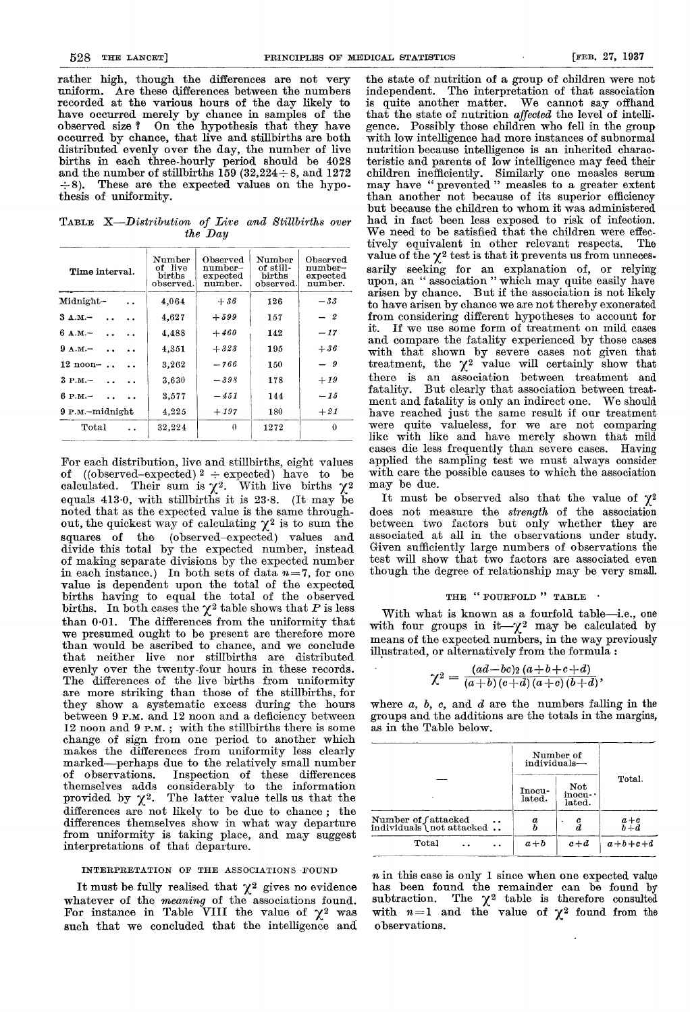rather high, though the differences are not very uniform. Are these differences between the numbers recorded at the various hours of the day likely to have occurred merely by chance in samples of the observed size ? On the hypothesis that they have occurred by chance, that live and stillbirths are both distributed evenly over the day, the number of live births in each three-hourly period should be 4028 and the number of stillbirths 159 (32,224  $\div$  8, and 1272  $\div$  8). These are the expected values on the hypo-These are the expected values on the hypothesis of uniformity.

TABLE X-Distribution of Live and Stillbirths over the Day

| Time interval.                    | Number<br>of live<br>births<br>observed. | $0$ bserved<br>$number-$<br>$\mathop{\mathrm{expected}}$<br>number. | Number<br>of still-<br>births<br>observed. | Observed<br>$\texttt{number}-$<br>$\rm expected$<br>number. |
|-----------------------------------|------------------------------------------|---------------------------------------------------------------------|--------------------------------------------|-------------------------------------------------------------|
| Midnight-<br>$\ddot{\phantom{a}}$ | 4,064                                    | $+36$                                                               | 126                                        | $-33$                                                       |
| 3 A.M.                            | 4,627                                    | $+599$                                                              | 157                                        | $-2$                                                        |
| 6 $A.M.$                          | 4,488                                    | $+460$                                                              | 142                                        | $-17$                                                       |
| $9 A.M. -$                        | 4.351                                    | $+323$                                                              | 195                                        | $+36$                                                       |
| $12\ \mathrm{noon}-$              | 3.262                                    | $-766$                                                              | 1.50                                       | $-9$                                                        |
| 3P.M.                             | 3.630                                    | $-398$                                                              | 178                                        | $+19$                                                       |
| $6$ P.M. $-$                      | 3,577                                    | $-451$                                                              | 144                                        | $-15$                                                       |
| $9 P.M. -midnight$                | 4,225                                    | $+ \, 197$                                                          | 180                                        | $+21$                                                       |
| Total                             | 32,224                                   | $\theta$                                                            | 1272                                       | $\theta$                                                    |

For each distribution, live and stillbirths, eight values of  $((observed-expected)\text{?}\div expected)$  have to be calculated. Their sum is  $\chi^2$ . With live births  $\chi^2$ equals  $413.0$ , with stillbirths it is  $23.8$ . (It may be noted that as the expected value is the same throughout, the quickest way of calculating  $\chi^2$  is to sum the squares of the (observed-expected) values and divide this total by the expected number, instead of making separate divisions by the expected number in each instance.) In both sets of data  $n=7$ , for one value is dependent upon the total of the expected births having to equal the total of the observed births. In both cases the  $\chi^2$  table shows that P is less than 0-01. The differences from the uniformity that we presumed ought to be present are therefore more than would be ascribed to chance, and we conclude that neither live nor stillbirths are distributed evenly over the twenty-four hours in these records.<br>The differences of the live births from uniformity are more striking than those of the stillbirths, for they show a systematic excess during the hours between 9 P.M. and 12 noon and a deficiency between 12 noon and 9 P.M. ; with the stillbirths there is some change of sign from one period to another which makes the differences from uniformity less clearly marked—perhaps due to the relatively small number<br>of observations. Inspection of these differences of observations. Inspection of these differences considerably to the information provided by  $\chi^2$ . The latter value tells us that the differences are not likely to be due to chance ; the differences themselves show in what way departure from uniformity is taking place, and may suggest interpretations of that departure.

It must be fully realised that  $\chi^2$  gives no evidence whatever of the *meaning* of the associations found. For instance in Table VIII the value of  $\chi^2$  was such that we concluded that the intelligence and the state of nutrition of a group of children were not independent. The interpretation of that association is quite another matter. We cannot say offhand that the state of nutrition affected the level of intelli. gence. Possibly those children who fell in the group with low intelligence had more instances of subnormal nutrition because intelligence is an inherited characteristic and parents of low intelligence may feed their children inefficiently. Similarly one measles serum may have " prevented " measles to a greater extent than another not because of its superior efficiency but because the children to whom it was administered had in fact been less exposed to risk of infection. We need to be satisfied that the children were effectively equivalent in other relevant respects. The value of the  $\chi^2$  test is that it prevents us from unnecessarily seeking for an explanation of, or relying upon, an " association " which may quite easily have arisen by chance. But if the association is not likely to have arisen by chance we are not thereby exonerated from considering different hypotheses to account for it. If we use some form of treatment on mild cases and compare the fatality experienced by those cases with that shown by severe cases not given that treatment, the  $\chi^2$  value will certainly show that there is an association between treatment and fatality. But clearly that association between treatment and fatality is only an indirect one. We should have reached just the same result if our treatment<br>were quite valueless, for we are not comparing like with like and have merely shown that mild cases die less frequently than severe cases. Having applied the sampling test we must always consider with care the possible causes to which the association may be due.

It must be observed also that the value of  $\chi^2$ does not measure the strength of the association between two factors but only whether they are associated at all in the observations under study. Given sufficiently large numbers of observations the test will show that two factors are associated even though the degree of relationship may be very small.

## THE "FOURFOLD" TABLE .

With what is known as a fourfold table-i.e., one with four groups in it— $\chi^2$  may be calculated by means of the expected numbers, in the way previously illustrated, or alternatively from the formula :

$$
\chi^2=\tfrac{(ad-bc)\alpha\,(a+b+c+d)}{(a+b)\,(c+d)\,(a+c)\,(b+d)},
$$

where  $a, b, c,$  and  $d$  are the numbers falling in the groups and the additions are the totals in the margins, as in the Table below.

|                                                 |                  | Number of<br>individuals-       |                    |
|-------------------------------------------------|------------------|---------------------------------|--------------------|
|                                                 | Inocu-<br>lated. | <b>Not</b><br>inocu-·<br>lated. | Total.             |
| Number of fattacked<br>individuals\not attacked | a<br>b           | $\overset{c}{d}$                | $a + c$<br>$b + d$ |
| Total<br>$\ddot{\phantom{a}}$                   | $a + b$          | $c+d$                           | $a+b+c+d$          |

n in this case is only 1 since when one expected value subtraction. The  $\chi^2$  table is therefore consulted with  $n=1$  and the value of  $\chi^2$  found from the observations.